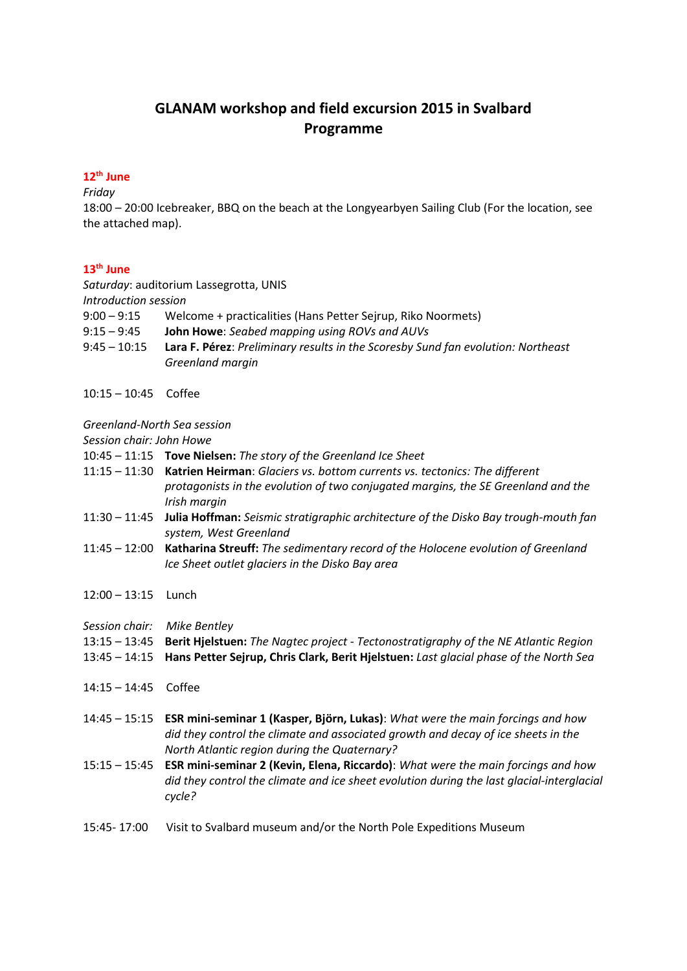# **GLANAM workshop and field excursion 2015 in Svalbard Programme**

#### **12th June**

*Friday*

18:00 – 20:00 Icebreaker, BBQ on the beach at the Longyearbyen Sailing Club (For the location, see the attached map).

### **13th June**

*Saturday*: auditorium Lassegrotta, UNIS

*Introduction session*

- 9:00 9:15 Welcome + practicalities (Hans Petter Sejrup, Riko Noormets)
- 9:15 9:45 **John Howe**: *Seabed mapping using ROVs and AUVs*
- 9:45 10:15 **Lara F. Pérez**: *Preliminary results in the Scoresby Sund fan evolution: Northeast Greenland margin*
- 10:15 10:45 Coffee

#### *Greenland-North Sea session*

*Session chair: John Howe*

- 10:45 11:15 **Tove Nielsen:** *The story of the Greenland Ice Sheet*
- 11:15 11:30 **Katrien Heirman**: *Glaciers vs. bottom currents vs. tectonics: The different protagonists in the evolution of two conjugated margins, the SE Greenland and the Irish margin*
- 11:30 11:45 **Julia Hoffman:** *Seismic stratigraphic architecture of the Disko Bay trough-mouth fan system, West Greenland*
- 11:45 12:00 **Katharina Streuff:** *The sedimentary record of the Holocene evolution of Greenland Ice Sheet outlet glaciers in the Disko Bay area*
- 12:00 13:15 Lunch
- *Session chair: Mike Bentley*
- 13:15 13:45 **Berit Hjelstuen:** *The Nagtec project - Tectonostratigraphy of the NE Atlantic Region*
- 13:45 14:15 **Hans Petter Sejrup, Chris Clark, Berit Hjelstuen:** *Last glacial phase of the North Sea*
- 14:15 14:45 Coffee
- 14:45 15:15 **ESR mini-seminar 1 (Kasper, Björn, Lukas)**: *What were the main forcings and how did they control the climate and associated growth and decay of ice sheets in the North Atlantic region during the Quaternary?*
- 15:15 15:45 **ESR mini-seminar 2 (Kevin, Elena, Riccardo)**: *What were the main forcings and how did they control the climate and ice sheet evolution during the last glacial-interglacial cycle?*
- 15:45- 17:00 Visit to Svalbard museum and/or the North Pole Expeditions Museum